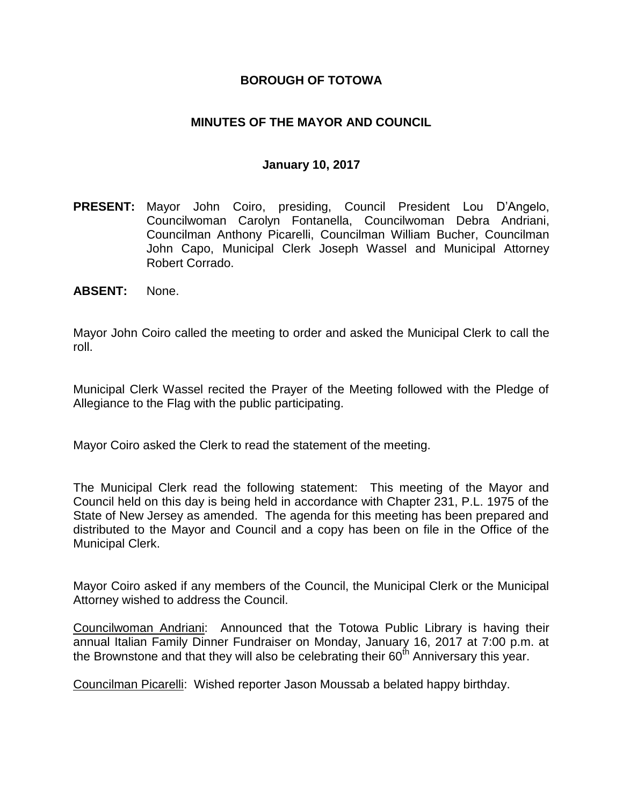## **BOROUGH OF TOTOWA**

## **MINUTES OF THE MAYOR AND COUNCIL**

#### **January 10, 2017**

- **PRESENT:** Mayor John Coiro, presiding, Council President Lou D'Angelo, Councilwoman Carolyn Fontanella, Councilwoman Debra Andriani, Councilman Anthony Picarelli, Councilman William Bucher, Councilman John Capo, Municipal Clerk Joseph Wassel and Municipal Attorney Robert Corrado.
- **ABSENT:** None.

Mayor John Coiro called the meeting to order and asked the Municipal Clerk to call the roll.

Municipal Clerk Wassel recited the Prayer of the Meeting followed with the Pledge of Allegiance to the Flag with the public participating.

Mayor Coiro asked the Clerk to read the statement of the meeting.

The Municipal Clerk read the following statement: This meeting of the Mayor and Council held on this day is being held in accordance with Chapter 231, P.L. 1975 of the State of New Jersey as amended. The agenda for this meeting has been prepared and distributed to the Mayor and Council and a copy has been on file in the Office of the Municipal Clerk.

Mayor Coiro asked if any members of the Council, the Municipal Clerk or the Municipal Attorney wished to address the Council.

Councilwoman Andriani: Announced that the Totowa Public Library is having their annual Italian Family Dinner Fundraiser on Monday, January 16, 2017 at 7:00 p.m. at the Brownstone and that they will also be celebrating their  $60<sup>th</sup>$  Anniversary this year.

Councilman Picarelli: Wished reporter Jason Moussab a belated happy birthday.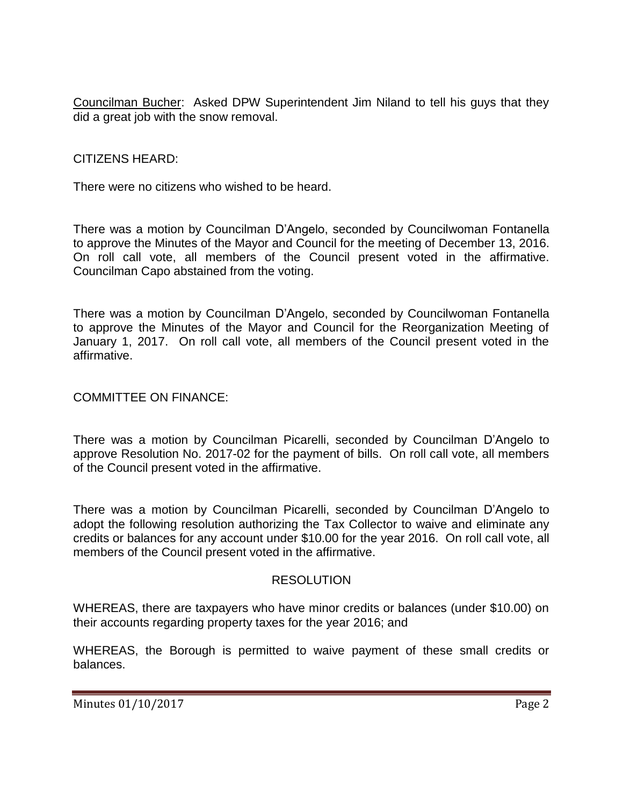Councilman Bucher: Asked DPW Superintendent Jim Niland to tell his guys that they did a great job with the snow removal.

CITIZENS HEARD:

There were no citizens who wished to be heard.

There was a motion by Councilman D'Angelo, seconded by Councilwoman Fontanella to approve the Minutes of the Mayor and Council for the meeting of December 13, 2016. On roll call vote, all members of the Council present voted in the affirmative. Councilman Capo abstained from the voting.

There was a motion by Councilman D'Angelo, seconded by Councilwoman Fontanella to approve the Minutes of the Mayor and Council for the Reorganization Meeting of January 1, 2017. On roll call vote, all members of the Council present voted in the affirmative.

COMMITTEE ON FINANCE:

There was a motion by Councilman Picarelli, seconded by Councilman D'Angelo to approve Resolution No. 2017-02 for the payment of bills. On roll call vote, all members of the Council present voted in the affirmative.

There was a motion by Councilman Picarelli, seconded by Councilman D'Angelo to adopt the following resolution authorizing the Tax Collector to waive and eliminate any credits or balances for any account under \$10.00 for the year 2016. On roll call vote, all members of the Council present voted in the affirmative.

### RESOLUTION

WHEREAS, there are taxpayers who have minor credits or balances (under \$10.00) on their accounts regarding property taxes for the year 2016; and

WHEREAS, the Borough is permitted to waive payment of these small credits or balances.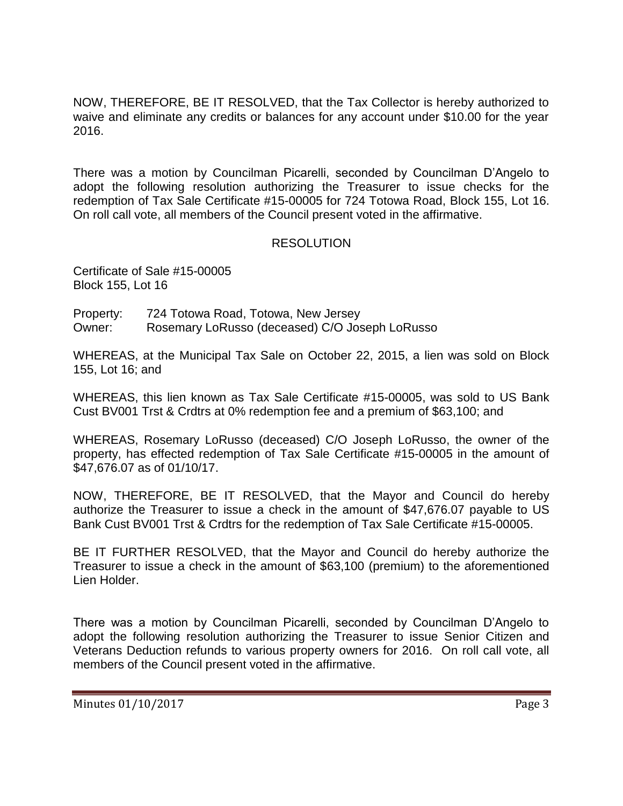NOW, THEREFORE, BE IT RESOLVED, that the Tax Collector is hereby authorized to waive and eliminate any credits or balances for any account under \$10.00 for the year 2016.

There was a motion by Councilman Picarelli, seconded by Councilman D'Angelo to adopt the following resolution authorizing the Treasurer to issue checks for the redemption of Tax Sale Certificate #15-00005 for 724 Totowa Road, Block 155, Lot 16. On roll call vote, all members of the Council present voted in the affirmative.

## RESOLUTION

Certificate of Sale #15-00005 Block 155, Lot 16

Property: 724 Totowa Road, Totowa, New Jersey Owner: Rosemary LoRusso (deceased) C/O Joseph LoRusso

WHEREAS, at the Municipal Tax Sale on October 22, 2015, a lien was sold on Block 155, Lot 16; and

WHEREAS, this lien known as Tax Sale Certificate #15-00005, was sold to US Bank Cust BV001 Trst & Crdtrs at 0% redemption fee and a premium of \$63,100; and

WHEREAS, Rosemary LoRusso (deceased) C/O Joseph LoRusso, the owner of the property, has effected redemption of Tax Sale Certificate #15-00005 in the amount of \$47,676.07 as of 01/10/17.

NOW, THEREFORE, BE IT RESOLVED, that the Mayor and Council do hereby authorize the Treasurer to issue a check in the amount of \$47,676.07 payable to US Bank Cust BV001 Trst & Crdtrs for the redemption of Tax Sale Certificate #15-00005.

BE IT FURTHER RESOLVED, that the Mayor and Council do hereby authorize the Treasurer to issue a check in the amount of \$63,100 (premium) to the aforementioned Lien Holder.

There was a motion by Councilman Picarelli, seconded by Councilman D'Angelo to adopt the following resolution authorizing the Treasurer to issue Senior Citizen and Veterans Deduction refunds to various property owners for 2016. On roll call vote, all members of the Council present voted in the affirmative.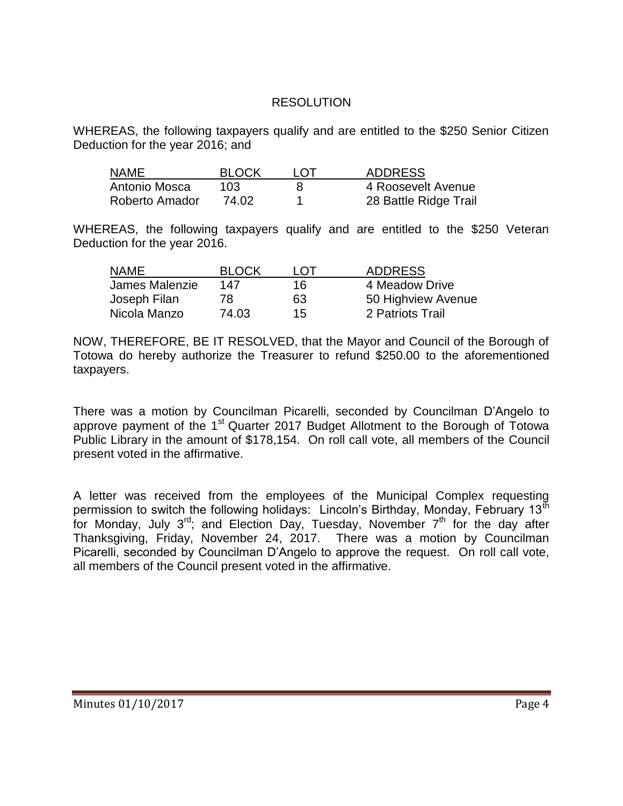## RESOLUTION

WHEREAS, the following taxpayers qualify and are entitled to the \$250 Senior Citizen Deduction for the year 2016; and

| NAME           | <b>BLOCK</b> | I OT | <b>ADDRESS</b>        |
|----------------|--------------|------|-----------------------|
| Antonio Mosca  | 103          |      | 4 Roosevelt Avenue    |
| Roberto Amador | 74.02        |      | 28 Battle Ridge Trail |

WHEREAS, the following taxpayers qualify and are entitled to the \$250 Veteran Deduction for the year 2016.

| <b>NAME</b>    | <b>BLOCK</b> | I OT | <b>ADDRESS</b>     |
|----------------|--------------|------|--------------------|
| James Malenzie | 147          | 16.  | 4 Meadow Drive     |
| Joseph Filan   | 78.          | 63   | 50 Highview Avenue |
| Nicola Manzo   | 74.03        | 15   | 2 Patriots Trail   |

NOW, THEREFORE, BE IT RESOLVED, that the Mayor and Council of the Borough of Totowa do hereby authorize the Treasurer to refund \$250.00 to the aforementioned taxpayers.

There was a motion by Councilman Picarelli, seconded by Councilman D'Angelo to approve payment of the 1<sup>st</sup> Quarter 2017 Budget Allotment to the Borough of Totowa Public Library in the amount of \$178,154. On roll call vote, all members of the Council present voted in the affirmative.

A letter was received from the employees of the Municipal Complex requesting permission to switch the following holidays: Lincoln's Birthday, Monday, February 13<sup>th</sup> for Monday, July  $3^{rd}$ ; and Election Day, Tuesday, November  $7^{th}$  for the day after Thanksgiving, Friday, November 24, 2017. There was a motion by Councilman Picarelli, seconded by Councilman D'Angelo to approve the request. On roll call vote, all members of the Council present voted in the affirmative.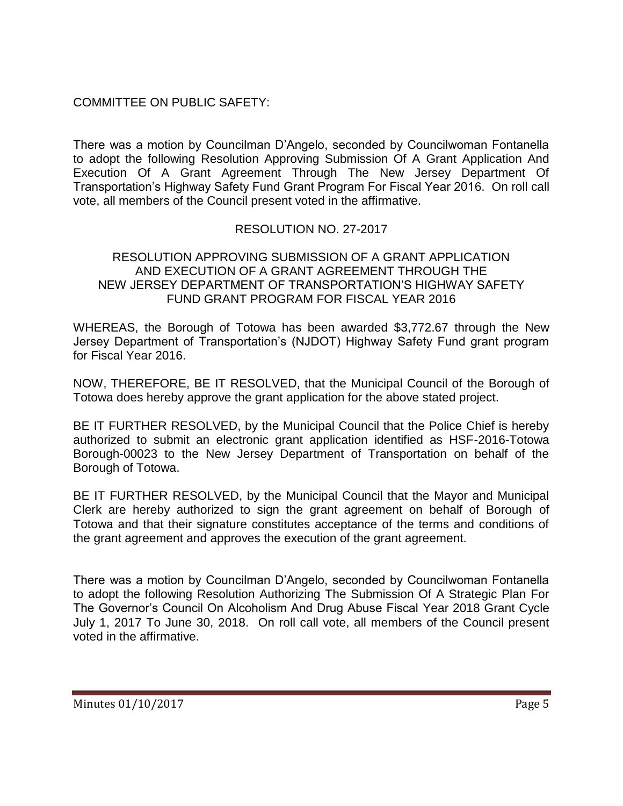# COMMITTEE ON PUBLIC SAFETY:

There was a motion by Councilman D'Angelo, seconded by Councilwoman Fontanella to adopt the following Resolution Approving Submission Of A Grant Application And Execution Of A Grant Agreement Through The New Jersey Department Of Transportation's Highway Safety Fund Grant Program For Fiscal Year 2016. On roll call vote, all members of the Council present voted in the affirmative.

# RESOLUTION NO. 27-2017

### RESOLUTION APPROVING SUBMISSION OF A GRANT APPLICATION AND EXECUTION OF A GRANT AGREEMENT THROUGH THE NEW JERSEY DEPARTMENT OF TRANSPORTATION'S HIGHWAY SAFETY FUND GRANT PROGRAM FOR FISCAL YEAR 2016

WHEREAS, the Borough of Totowa has been awarded \$3,772.67 through the New Jersey Department of Transportation's (NJDOT) Highway Safety Fund grant program for Fiscal Year 2016.

NOW, THEREFORE, BE IT RESOLVED, that the Municipal Council of the Borough of Totowa does hereby approve the grant application for the above stated project.

BE IT FURTHER RESOLVED, by the Municipal Council that the Police Chief is hereby authorized to submit an electronic grant application identified as HSF-2016-Totowa Borough-00023 to the New Jersey Department of Transportation on behalf of the Borough of Totowa.

BE IT FURTHER RESOLVED, by the Municipal Council that the Mayor and Municipal Clerk are hereby authorized to sign the grant agreement on behalf of Borough of Totowa and that their signature constitutes acceptance of the terms and conditions of the grant agreement and approves the execution of the grant agreement.

There was a motion by Councilman D'Angelo, seconded by Councilwoman Fontanella to adopt the following Resolution Authorizing The Submission Of A Strategic Plan For The Governor's Council On Alcoholism And Drug Abuse Fiscal Year 2018 Grant Cycle July 1, 2017 To June 30, 2018. On roll call vote, all members of the Council present voted in the affirmative.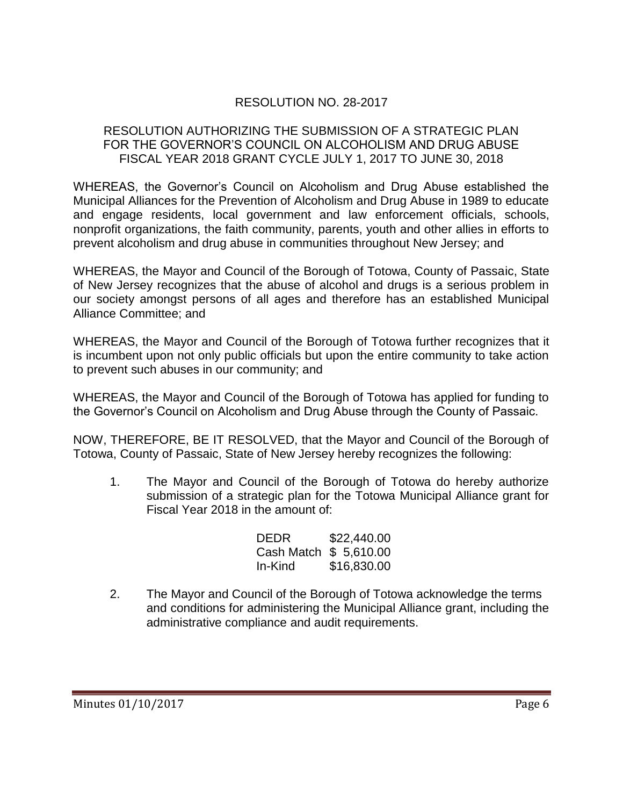# RESOLUTION NO. 28-2017

## RESOLUTION AUTHORIZING THE SUBMISSION OF A STRATEGIC PLAN FOR THE GOVERNOR'S COUNCIL ON ALCOHOLISM AND DRUG ABUSE FISCAL YEAR 2018 GRANT CYCLE JULY 1, 2017 TO JUNE 30, 2018

WHEREAS, the Governor's Council on Alcoholism and Drug Abuse established the Municipal Alliances for the Prevention of Alcoholism and Drug Abuse in 1989 to educate and engage residents, local government and law enforcement officials, schools, nonprofit organizations, the faith community, parents, youth and other allies in efforts to prevent alcoholism and drug abuse in communities throughout New Jersey; and

WHEREAS, the Mayor and Council of the Borough of Totowa, County of Passaic, State of New Jersey recognizes that the abuse of alcohol and drugs is a serious problem in our society amongst persons of all ages and therefore has an established Municipal Alliance Committee; and

WHEREAS, the Mayor and Council of the Borough of Totowa further recognizes that it is incumbent upon not only public officials but upon the entire community to take action to prevent such abuses in our community; and

WHEREAS, the Mayor and Council of the Borough of Totowa has applied for funding to the Governor's Council on Alcoholism and Drug Abuse through the County of Passaic.

NOW, THEREFORE, BE IT RESOLVED, that the Mayor and Council of the Borough of Totowa, County of Passaic, State of New Jersey hereby recognizes the following:

1. The Mayor and Council of the Borough of Totowa do hereby authorize submission of a strategic plan for the Totowa Municipal Alliance grant for Fiscal Year 2018 in the amount of:

| <b>DEDR</b>            | \$22,440.00 |  |  |
|------------------------|-------------|--|--|
| Cash Match \$ 5,610.00 |             |  |  |
| In-Kind                | \$16,830.00 |  |  |

2. The Mayor and Council of the Borough of Totowa acknowledge the terms and conditions for administering the Municipal Alliance grant, including the administrative compliance and audit requirements.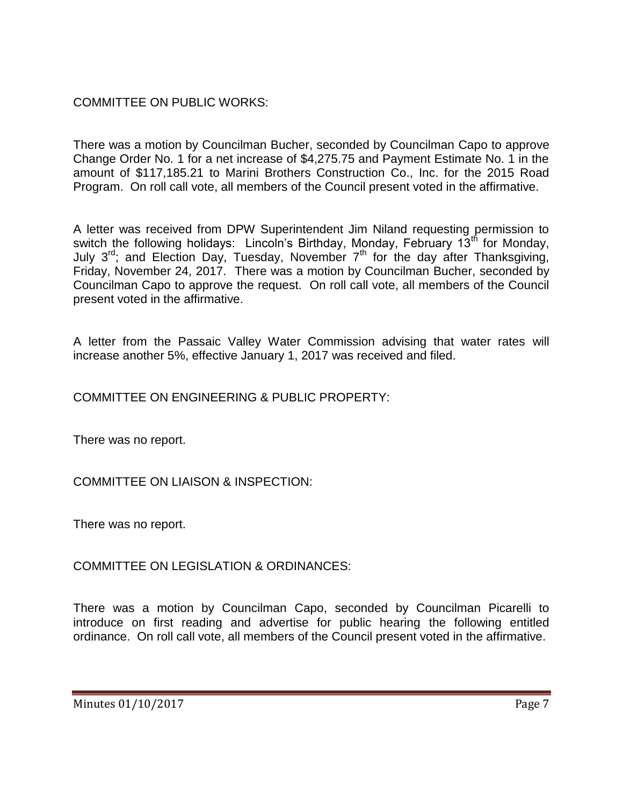# COMMITTEE ON PUBLIC WORKS:

There was a motion by Councilman Bucher, seconded by Councilman Capo to approve Change Order No. 1 for a net increase of \$4,275.75 and Payment Estimate No. 1 in the amount of \$117,185.21 to Marini Brothers Construction Co., Inc. for the 2015 Road Program. On roll call vote, all members of the Council present voted in the affirmative.

A letter was received from DPW Superintendent Jim Niland requesting permission to switch the following holidays: Lincoln's Birthday, Monday, February 13<sup>th</sup> for Monday, July 3<sup>rd</sup>; and Election Day, Tuesday, November 7<sup>th</sup> for the day after Thanksgiving, Friday, November 24, 2017. There was a motion by Councilman Bucher, seconded by Councilman Capo to approve the request. On roll call vote, all members of the Council present voted in the affirmative.

A letter from the Passaic Valley Water Commission advising that water rates will increase another 5%, effective January 1, 2017 was received and filed.

# COMMITTEE ON ENGINEERING & PUBLIC PROPERTY:

There was no report.

## COMMITTEE ON LIAISON & INSPECTION:

There was no report.

COMMITTEE ON LEGISLATION & ORDINANCES:

There was a motion by Councilman Capo, seconded by Councilman Picarelli to introduce on first reading and advertise for public hearing the following entitled ordinance. On roll call vote, all members of the Council present voted in the affirmative.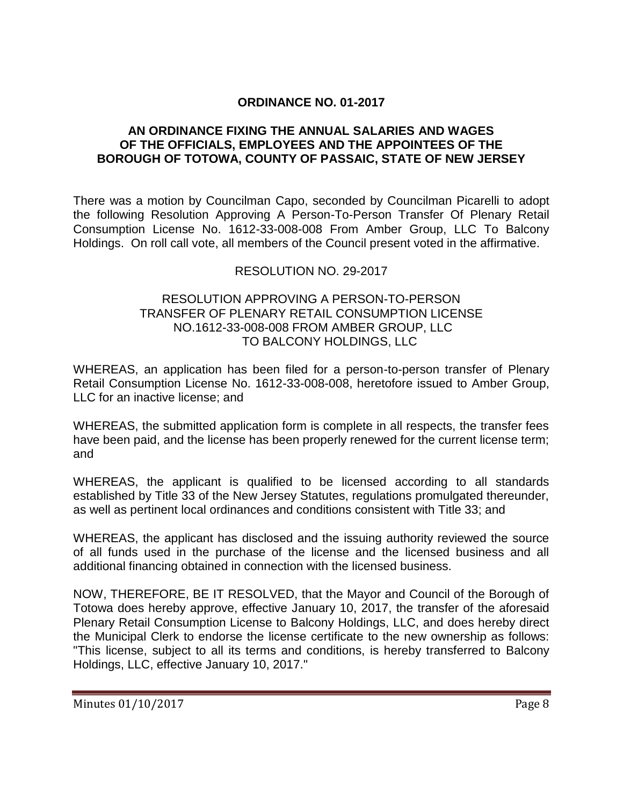## **ORDINANCE NO. 01-2017**

### **AN ORDINANCE FIXING THE ANNUAL SALARIES AND WAGES OF THE OFFICIALS, EMPLOYEES AND THE APPOINTEES OF THE BOROUGH OF TOTOWA, COUNTY OF PASSAIC, STATE OF NEW JERSEY**

There was a motion by Councilman Capo, seconded by Councilman Picarelli to adopt the following Resolution Approving A Person-To-Person Transfer Of Plenary Retail Consumption License No. 1612-33-008-008 From Amber Group, LLC To Balcony Holdings. On roll call vote, all members of the Council present voted in the affirmative.

## RESOLUTION NO. 29-2017

#### RESOLUTION APPROVING A PERSON-TO-PERSON TRANSFER OF PLENARY RETAIL CONSUMPTION LICENSE NO.1612-33-008-008 FROM AMBER GROUP, LLC TO BALCONY HOLDINGS, LLC

WHEREAS, an application has been filed for a person-to-person transfer of Plenary Retail Consumption License No. 1612-33-008-008, heretofore issued to Amber Group, LLC for an inactive license; and

WHEREAS, the submitted application form is complete in all respects, the transfer fees have been paid, and the license has been properly renewed for the current license term; and

WHEREAS, the applicant is qualified to be licensed according to all standards established by Title 33 of the New Jersey Statutes, regulations promulgated thereunder, as well as pertinent local ordinances and conditions consistent with Title 33; and

WHEREAS, the applicant has disclosed and the issuing authority reviewed the source of all funds used in the purchase of the license and the licensed business and all additional financing obtained in connection with the licensed business.

NOW, THEREFORE, BE IT RESOLVED, that the Mayor and Council of the Borough of Totowa does hereby approve, effective January 10, 2017, the transfer of the aforesaid Plenary Retail Consumption License to Balcony Holdings, LLC, and does hereby direct the Municipal Clerk to endorse the license certificate to the new ownership as follows: "This license, subject to all its terms and conditions, is hereby transferred to Balcony Holdings, LLC, effective January 10, 2017."